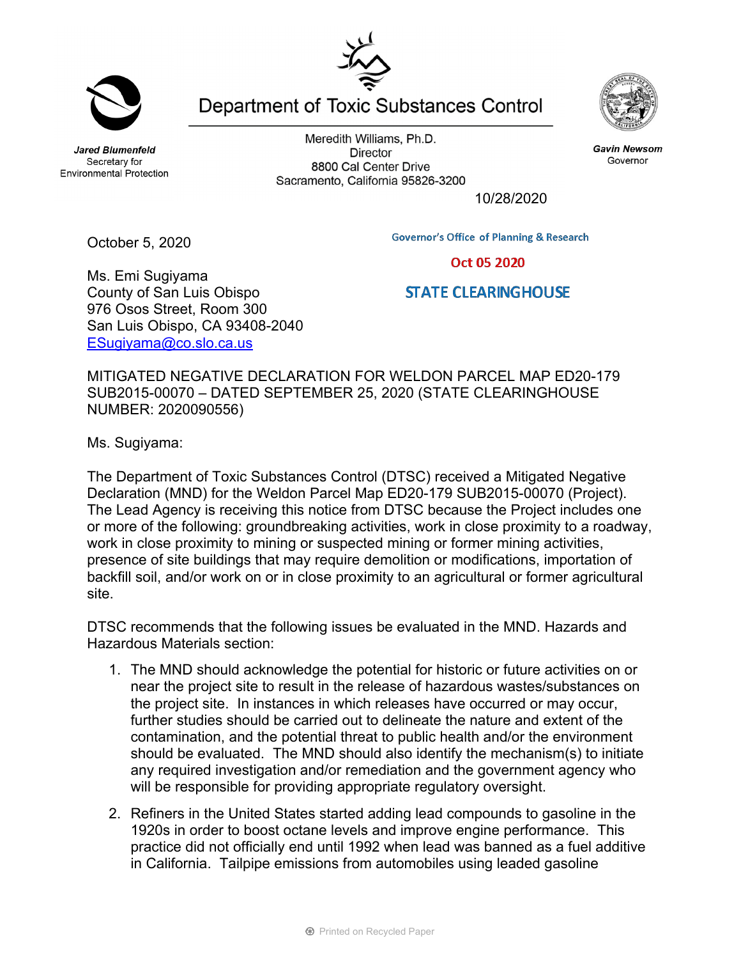**Jared Blumenfeld** Secretary for

October 5, 2020

Meredith Williams, Ph.D. **Director** 8800 Cal Center Drive Sacramento, California 95826-3200



Oct 05 2020

**STATE CLEARINGHOUSE** 

Ms. Emi Sugiyama County of San Luis Obispo 976 Osos Street, Room 300 San Luis Obispo, CA 93408-2040 ESugiyama@co.slo.ca.us

MITIGATED NEGATIVE DECLARATION FOR WELDON PARCEL MAP ED20-179 SUB2015-00070 – DATED SEPTEMBER 25, 2020 (STATE CLEARINGHOUSE NUMBER: 2020090556)

Ms. Sugiyama:

The Department of Toxic Substances Control (DTSC) received a Mitigated Negative Declaration (MND) for the Weldon Parcel Map ED20-179 SUB2015-00070 (Project). The Lead Agency is receiving this notice from DTSC because the Project includes one or more of the following: groundbreaking activities, work in close proximity to a roadway, work in close proximity to mining or suspected mining or former mining activities, presence of site buildings that may require demolition or modifications, importation of backfill soil, and/or work on or in close proximity to an agricultural or former agricultural site.

DTSC recommends that the following issues be evaluated in the MND. Hazards and Hazardous Materials section:

- 1. The MND should acknowledge the potential for historic or future activities on or near the project site to result in the release of hazardous wastes/substances on the project site. In instances in which releases have occurred or may occur, further studies should be carried out to delineate the nature and extent of the contamination, and the potential threat to public health and/or the environment should be evaluated. The MND should also identify the mechanism(s) to initiate any required investigation and/or remediation and the government agency who will be responsible for providing appropriate regulatory oversight.
- 2. Refiners in the United States started adding lead compounds to gasoline in the 1920s in order to boost octane levels and improve engine performance. This practice did not officially end until 1992 when lead was banned as a fuel additive in California. Tailpipe emissions from automobiles using leaded gasoline

**Gavin Newsom** 

Governor

**Environmental Protection** 

10/28/2020

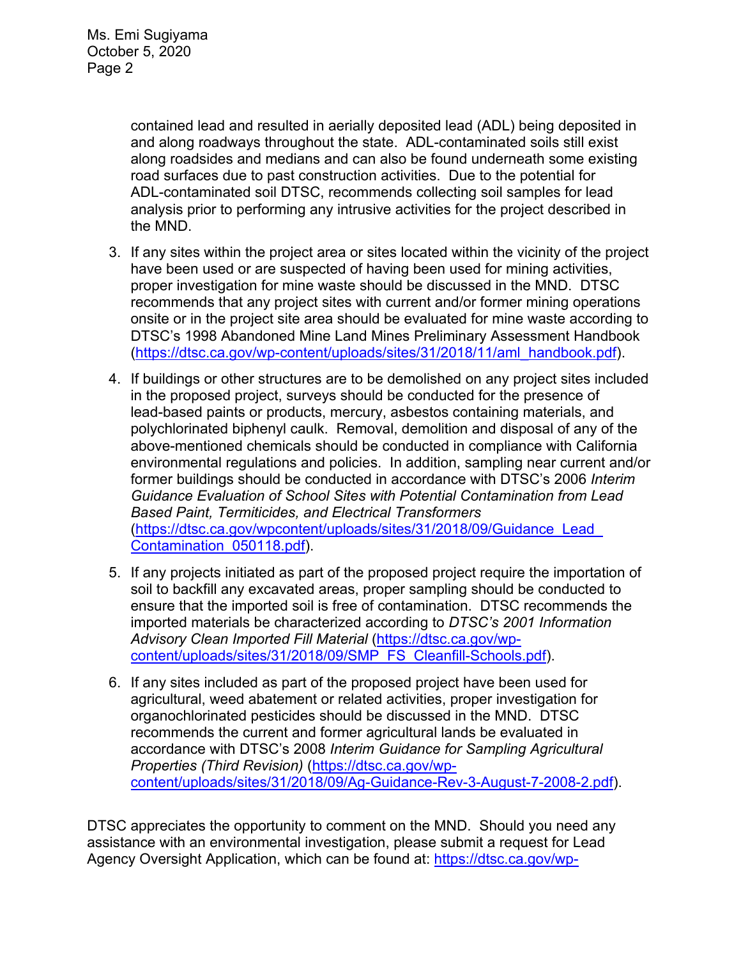contained lead and resulted in aerially deposited lead (ADL) being deposited in and along roadways throughout the state. ADL-contaminated soils still exist along roadsides and medians and can also be found underneath some existing road surfaces due to past construction activities. Due to the potential for ADL-contaminated soil DTSC, recommends collecting soil samples for lead analysis prior to performing any intrusive activities for the project described in the MND.

- 3. If any sites within the project area or sites located within the vicinity of the project have been used or are suspected of having been used for mining activities, proper investigation for mine waste should be discussed in the MND. DTSC recommends that any project sites with current and/or former mining operations onsite or in the project site area should be evaluated for mine waste according to DTSC's 1998 Abandoned Mine Land Mines Preliminary Assessment Handbook (https://dtsc.ca.gov/wp-content/uploads/sites/31/2018/11/aml\_handbook.pdf).
- 4. If buildings or other structures are to be demolished on any project sites included in the proposed project, surveys should be conducted for the presence of lead-based paints or products, mercury, asbestos containing materials, and polychlorinated biphenyl caulk. Removal, demolition and disposal of any of the above-mentioned chemicals should be conducted in compliance with California environmental regulations and policies. In addition, sampling near current and/or former buildings should be conducted in accordance with DTSC's 2006 *Interim Guidance Evaluation of School Sites with Potential Contamination from Lead Based Paint, Termiticides, and Electrical Transformers*  (https://dtsc.ca.gov/wpcontent/uploads/sites/31/2018/09/Guidance\_Lead\_ Contamination\_050118.pdf).
- 5. If any projects initiated as part of the proposed project require the importation of soil to backfill any excavated areas, proper sampling should be conducted to ensure that the imported soil is free of contamination. DTSC recommends the imported materials be characterized according to *DTSC's 2001 Information Advisory Clean Imported Fill Material* (https://dtsc.ca.gov/wpcontent/uploads/sites/31/2018/09/SMP\_FS\_Cleanfill-Schools.pdf).
- 6. If any sites included as part of the proposed project have been used for agricultural, weed abatement or related activities, proper investigation for organochlorinated pesticides should be discussed in the MND. DTSC recommends the current and former agricultural lands be evaluated in accordance with DTSC's 2008 *Interim Guidance for Sampling Agricultural Properties (Third Revision)* (https://dtsc.ca.gov/wpcontent/uploads/sites/31/2018/09/Ag-Guidance-Rev-3-August-7-2008-2.pdf).

DTSC appreciates the opportunity to comment on the MND. Should you need any assistance with an environmental investigation, please submit a request for Lead Agency Oversight Application, which can be found at: https://dtsc.ca.gov/wp